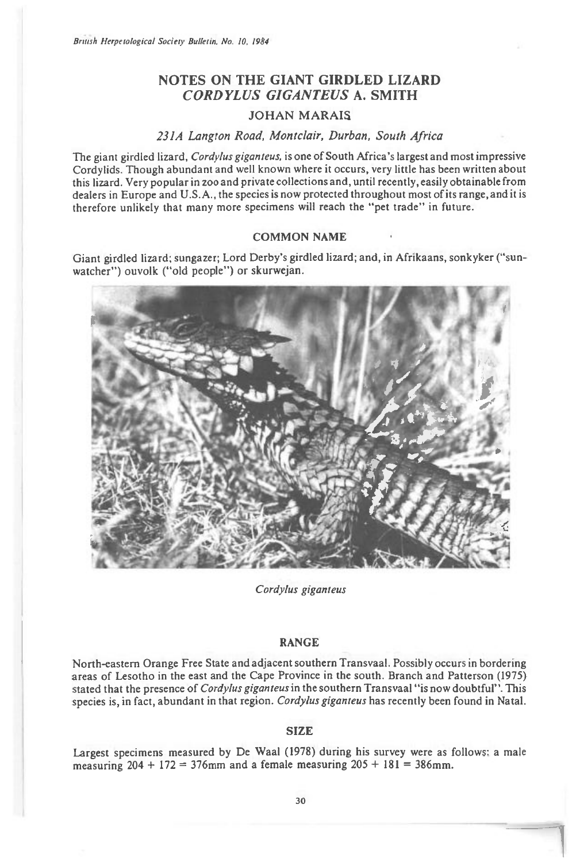# **NOTES ON THE GIANT GIRDLED LIZARD**  *CORDYLUS GIGANTEUS* **A. SMITH**

# **JOHAN MARAIS**

# *23IA Langton Road, Montclair, Durban, South Africa*

The giant girdled lizard, *Cordylus giganteus,* is one of South Africa's largest and most impressive Cordylids. Though abundant and well known where it occurs, very little has been written about this lizard. Very popular in zoo and private collections and, until recently, easily obtainable from dealers in Europe and U.S.A., the species is now protected throughout most of its range, and it is therefore unlikely that many more specimens will reach the "pet trade" in future.

### **COMMON NAME**

Giant girdled lizard; sungazer; Lord Derby's girdled lizard; and, in Afrikaans, sonkyker ("sunwatcher") ouvolk ("old people") or skurwejan.



*Cordylus giganteus* 

# **RANGE**

North-eastern Orange Free State and adjacent southern Transvaal. Possibly occurs in bordering areas of Lesotho in the east and the Cape Province in the south. Branch and Patterson (1975) stated that the presence of *Cordylus giganteus* in the southern Transvaal "is now doubtful". This species is, in fact, abundant in that region. *Cordylus giganteus* has recently been found in Natal.

### **SIZE**

Largest specimens measured by De Waal (1978) during his survey were as follows: a male measuring  $204 + 172 = 376$ mm and a female measuring  $205 + 181 = 386$ mm.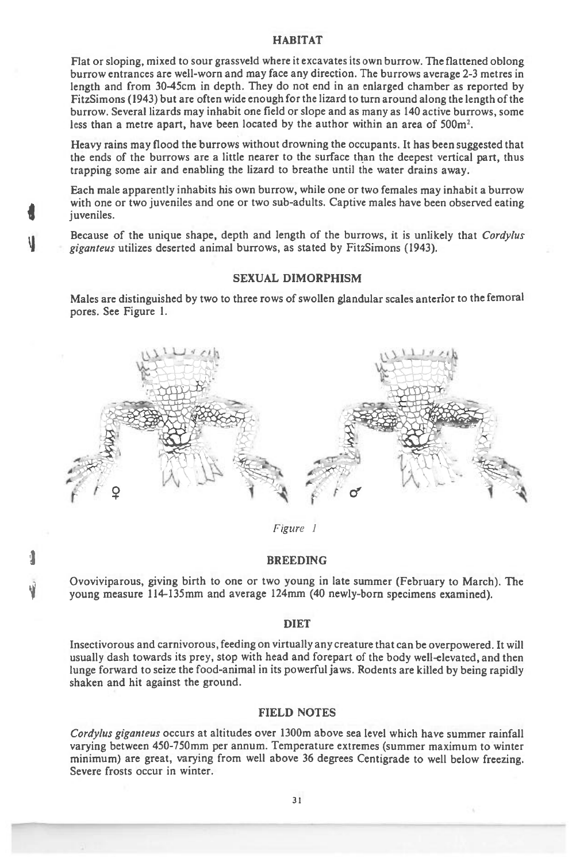#### **HABITAT**

Flat or sloping, mixed to sour grassveld where it excavates its own burrow. The flattened oblong burrow entrances are well-worn and may face any direction. The burrows average 2-3 metres in length and from 30-45cm in depth. They do not end in an enlarged chamber as reported by FitzSimons (1943) but are often wide enough for the lizard to turn around along the length of the burrow. Several lizards may inhabit one field or slope and as many as 140 active burrows, some less than a metre apart, have been located by the author within an area of  $500m<sup>2</sup>$ .

Heavy rains may flood the burrows without drowning the occupants. It has been suggested that the ends of the burrows are a little nearer to the surface than the deepest vertical part, thus trapping some air and enabling the lizard to breathe until the water drains away.

Each male apparently inhabits his own burrow, while one or two females may inhabit a burrow with one or two juveniles and one or two sub-adults. Captive males have been observed eating juveniles.

4

y.

Because of the unique shape, depth and length of the burrows, it is unlikely that *Cordylus giganteus* utilizes deserted animal burrows, as stated by FitzSimons (1943).

## **SEXUAL DIMORPHISM**

Males are distinguished by two to three rows of swollen glandular scales anterior to the femoral pores. See Figure 1.



*Figure 1* 

#### **BREEDING**

Ovoviviparous, giving birth to one or two young in late summer (February to March). The young measure 114-135mm and average 124mm (40 newly-born specimens examined).

# **DIET**

Insectivorous and carnivorous, feeding on virtually any creature that can be overpowered. It will usually dash towards its prey, stop with head and forepart of the body well-elevated, and then lunge forward to seize the food-animal in its powerful jaws. Rodents are killed by being rapidly shaken and hit against the ground.

## **FIELD NOTES**

*Cordylus giganteus* occurs at altitudes over 1300m above sea level which have summer rainfall varying between 450-750mm per annum. Temperature extremes (summer maximum to winter minimum) are great, varying from well above 36 degrees Centigrade to well below freezing. Severe frosts occur in winter.

#### 31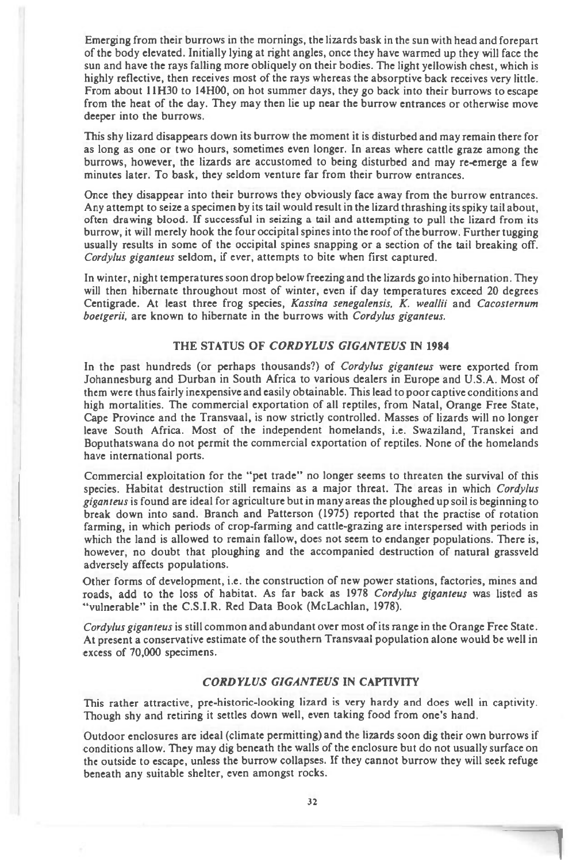Emerging from their burrows in the mornings, the lizards bask in the sun with head and forepart of the body elevated. Initially lying at right angles, once they have warmed up they will face the sun and have the rays falling more obliquely on their bodies. The light yellowish chest, which is highly reflective, then receives most of the rays whereas the absorptive back receives very little. From about 11H30 to 14H00, on hot summer days, they go back into their burrows to escape from the heat of the day. They may then lie up near the burrow entrances or otherwise move deeper into the burrows.

This shy lizard disappears down its burrow the moment it is disturbed and may remain there for as long as one or two hours, sometimes even longer. In areas where cattle graze among the burrows, however, the lizards are accustomed to being disturbed and may re-emerge a few minutes later. To bask, they seldom venture far from their burrow entrances.

Once they disappear into their burrows they obviously face away from the burrow entrances. Any attempt to seize a specimen by its tail would result in the lizard thrashing its spiky tail about, often drawing blood. If successful in seizing a tail and attempting to pull the lizard from its burrow, it will merely hook the four occipital spines into the roof of the burrow. Further tugging usually results in some of the occipital spines snapping or a section of the tail breaking off. *Cordylus giganteus* seldom, if ever, attempts to bite when first captured.

In winter, night temperatures soon drop below freezing and the lizards go into hibernation. They will then hibernate throughout most of winter, even if day temperatures exceed 20 degrees Centigrade. At least three frog species, *Kassina senegalensis, K. weallii* and *Cacosternum boelgerii,* are known to hibernate in the burrows with *Cordylus giganteus.* 

### THE STATUS OF *CORDYLUS GIGANTEUS* IN 1984

In the past hundreds (or perhaps thousands?) of *Cordylus giganteus* were exported from Johannesburg and Durban in South Africa to various dealers in Europe and U.S.A. Most of them were thus fairly inexpensive and easily obtainable. This lead to poor captive conditions and high mortalities. The commercial exportation of all reptiles, from Natal, Orange Free State, Cape Province and the Transvaal, is now strictly controlled. Masses of lizards will no longer leave South Africa. Most of the independent homelands, i.e. Swaziland, Transkei and Boputhatswana do not permit the commercial exportation of reptiles. None of the homelands have international ports.

Commercial exploitation for the "pet trade" no longer seems to threaten the survival of this species. Habitat destruction still remains as a major threat. The areas in which *Cordylus giganteus is* found are ideal for agriculture but in many areas the ploughed up soil is beginning to break down into sand. Branch and Patterson (1975) reported that the practise of rotation farming, in which periods of crop-farming and cattle-grazing are interspersed with periods in which the land is allowed to remain fallow, does not seem to endanger populations. There is, however, no doubt that ploughing and the accompanied destruction of natural grassveld adversely affects populations.

Other forms of development, i.e. the construction of new power stations, factories, mines and roads, add to the loss of habitat. As far back as 1978 *Cordylus giganteus* was listed as "vulnerable" in the C.S.I.R. Red Data Book (McLachlan, 1978).

*Cordylus giganteus is* still common and abundant over most of its range in the Orange Free State. At present a conservative estimate of the southern Transvaal population alone would be well in excess of 70,000 specimens.

# *CORD YLUS GIGANTEUS* IN CAPTIVITY

This rather attractive, pre-historic-looking lizard is very hardy and does well in captivity. Though shy and retiring it settles down well, even taking food from one's hand.

Outdoor enclosures are ideal (climate permitting) and the lizards soon dig their own burrows if conditions allow. They may dig beneath the walls of the enclosure but do not usually surface on the outside to escape, unless the burrow collapses. If they cannot burrow they will seek refuge beneath any suitable shelter, even amongst rocks.